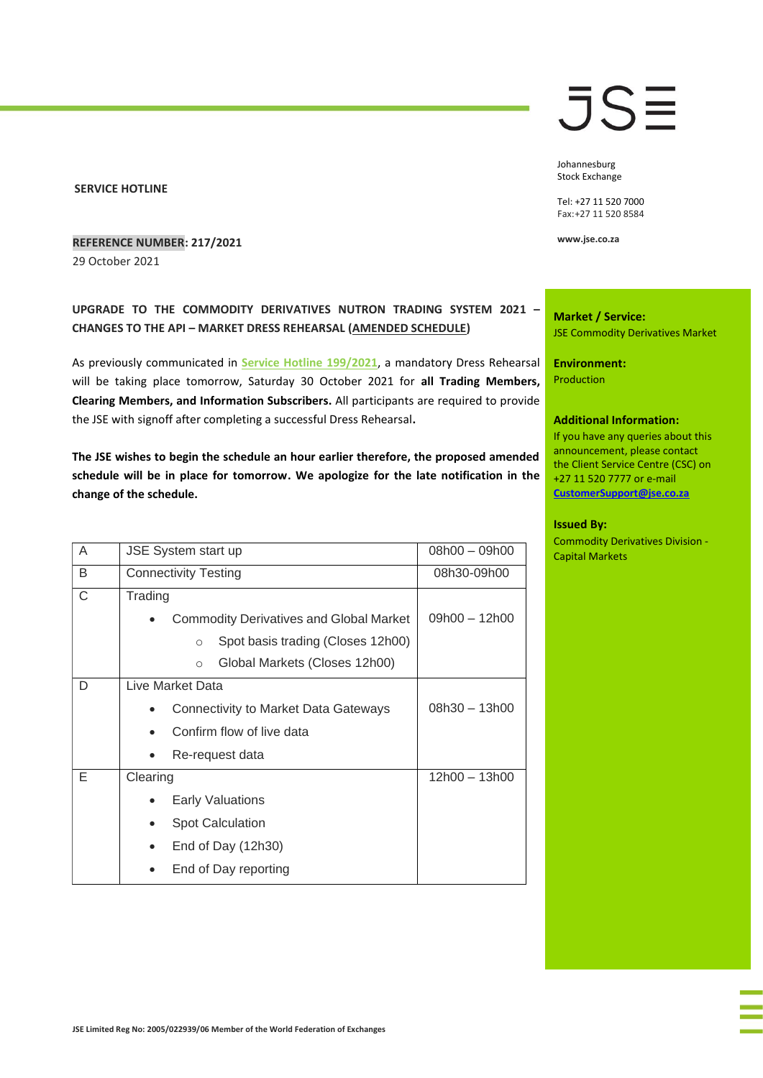#### **SERVICE HOTLINE**

### **REFERENCE NUMBER: 217/2021**

29 October 2021

## **UPGRADE TO THE COMMODITY DERIVATIVES NUTRON TRADING SYSTEM 2021 – CHANGES TO THE API – MARKET DRESS REHEARSAL (AMENDED SCHEDULE)**

As previously communicated in **[Service Hotline 199/2021](https://clientportal.jse.co.za/Content/JSEHotlinesItems/JSE%20Service%20Hotline%2019921%20CDM%20-%20Upgrade%20to%20the%20Commodity%20Derivatives%20Nutron%20Trading%20System%202021%20-%20Changes%20to%20the%20API%20-%20DR.pdf)**, a mandatory Dress Rehearsal will be taking place tomorrow, Saturday 30 October 2021 for **all Trading Members, Clearing Members, and Information Subscribers.** All participants are required to provide the JSE with signoff after completing a successful Dress Rehearsal**.** 

**The JSE wishes to begin the schedule an hour earlier therefore, the proposed amended schedule will be in place for tomorrow. We apologize for the late notification in the change of the schedule.**

| A | JSE System start up                               | $08h00 - 09h00$ |
|---|---------------------------------------------------|-----------------|
| B | <b>Connectivity Testing</b>                       | 08h30-09h00     |
| C | Trading                                           |                 |
|   | <b>Commodity Derivatives and Global Market</b>    | 09h00 - 12h00   |
|   | Spot basis trading (Closes 12h00)<br>$\circ$      |                 |
|   | Global Markets (Closes 12h00)<br>$\bigcirc$       |                 |
| D | Live Market Data                                  |                 |
|   | Connectivity to Market Data Gateways<br>$\bullet$ | $08h30 - 13h00$ |
|   | Confirm flow of live data                         |                 |
|   | Re-request data<br>$\bullet$                      |                 |
| Е | Clearing                                          | 12h00 - 13h00   |
|   | <b>Early Valuations</b>                           |                 |
|   | <b>Spot Calculation</b><br>$\bullet$              |                 |
|   | End of Day (12h30)<br>$\bullet$                   |                 |
|   | End of Day reporting                              |                 |
|   |                                                   |                 |

# JSE

Johannesburg Stock Exchange

Tel: +27 11 520 7000 Fax:+27 11 520 8584

**www.jse.co.za**

**Market / Service:** JSE Commodity Derivatives Market

**Environment: Production** 

#### **Additional Information:**

If you have any queries about this announcement, please contact the Client Service Centre (CSC) on +27 11 520 7777 or e-mail **[CustomerSupport@jse.co.za](mailto:CustomerSupport@jse.co.za)**

#### **Issued By:**

Commodity Derivatives Division - Capital Markets